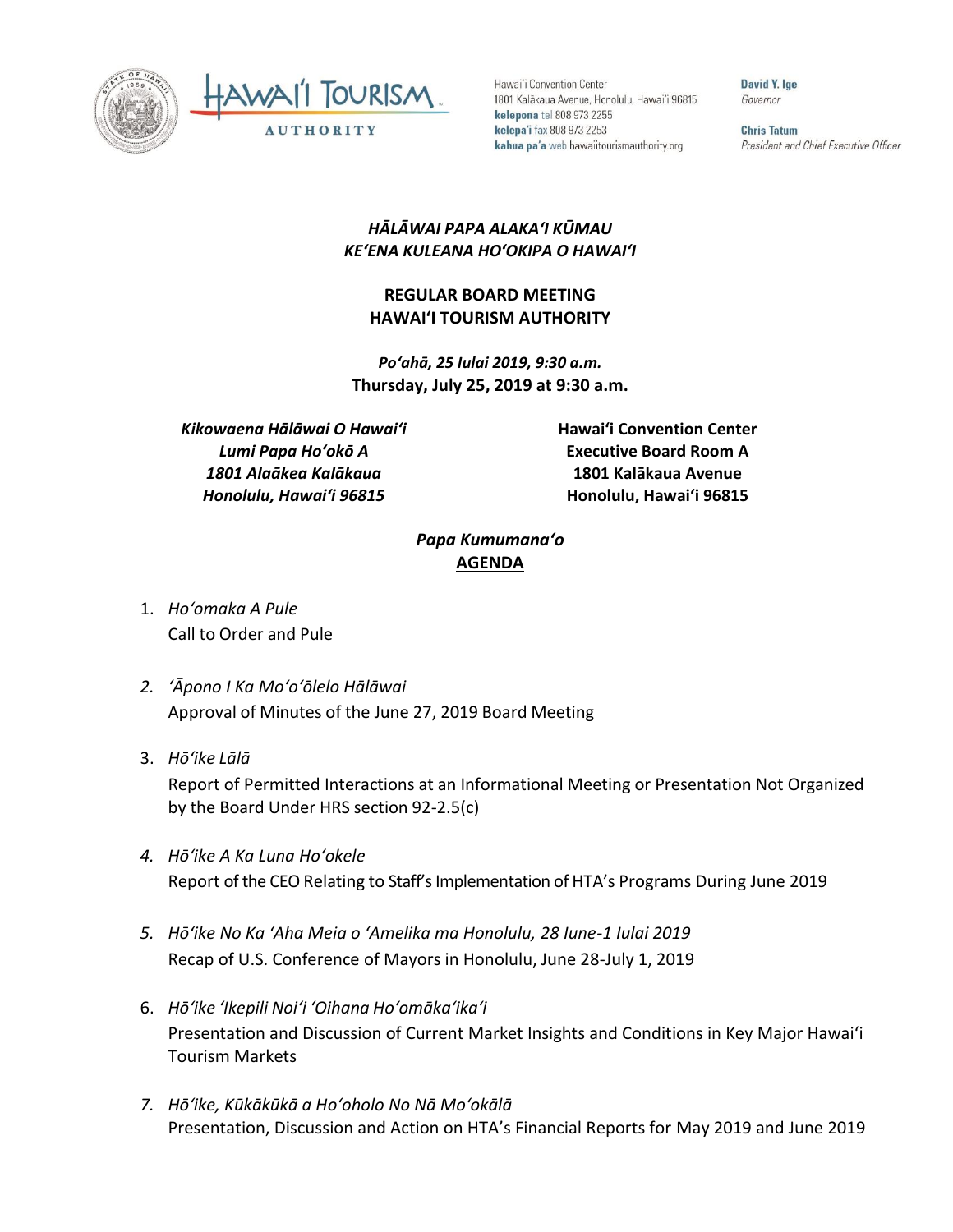



Hawai'i Convention Center 1801 Kalākaua Avenue, Honolulu, Hawai'i 96815 kelepona tel 808 973 2255 kelepa'i fax 808 973 2253 kahua pa'a web hawaiitourismauthority.org

David Y. lge Governor

**Chris Tatum** President and Chief Executive Officer

## *HĀLĀWAI PAPA ALAKAʻI KŪMAU KEʻENA KULEANA HOʻOKIPA O HAWAIʻI*

## **REGULAR BOARD MEETING HAWAI'I TOURISM AUTHORITY**

*Poʻahā, 25 Iulai 2019, 9:30 a.m.* **Thursday, July 25, 2019 at 9:30 a.m.**

*Kikowaena Hālāwai O Hawaiʻi Lumi Papa Hoʻokō A 1801 Alaākea Kalākaua Honolulu, Hawaiʻi 96815*

**Hawai'i Convention Center Executive Board Room A 1801 Kalākaua Avenue Honolulu, Hawai'i 96815**

## *Papa Kumumanaʻo* **AGENDA**

- 1. *Ho'omaka A Pule* Call to Order and Pule
- *2. ʻĀpono I Ka Moʻoʻōlelo Hālāwai* Approval of Minutes of the June 27, 2019 Board Meeting
- 3. *Hō'ike Lālā*

Report of Permitted Interactions at an Informational Meeting or Presentation Not Organized by the Board Under HRS section 92-2.5(c)

- *4. Hōʻike A Ka Luna Hoʻokele* Report of the CEO Relating to Staff's Implementation of HTA's Programs During June 2019
- *5. Hōʻike No Ka ʻAha Meia o ʻAmelika ma Honolulu, 28 Iune-1 Iulai 2019* Recap of U.S. Conference of Mayors in Honolulu, June 28-July 1, 2019
- 6. *Hō'ike 'Ikepili Noi'i 'Oihana Ho'omāka'ika'i* Presentation and Discussion of Current Market Insights and Conditions in Key Major Hawai'i Tourism Markets
- *7. Hōʻike, Kūkākūkā a Hoʻoholo No Nā Moʻokālā* Presentation, Discussion and Action on HTA's Financial Reports for May 2019 and June 2019